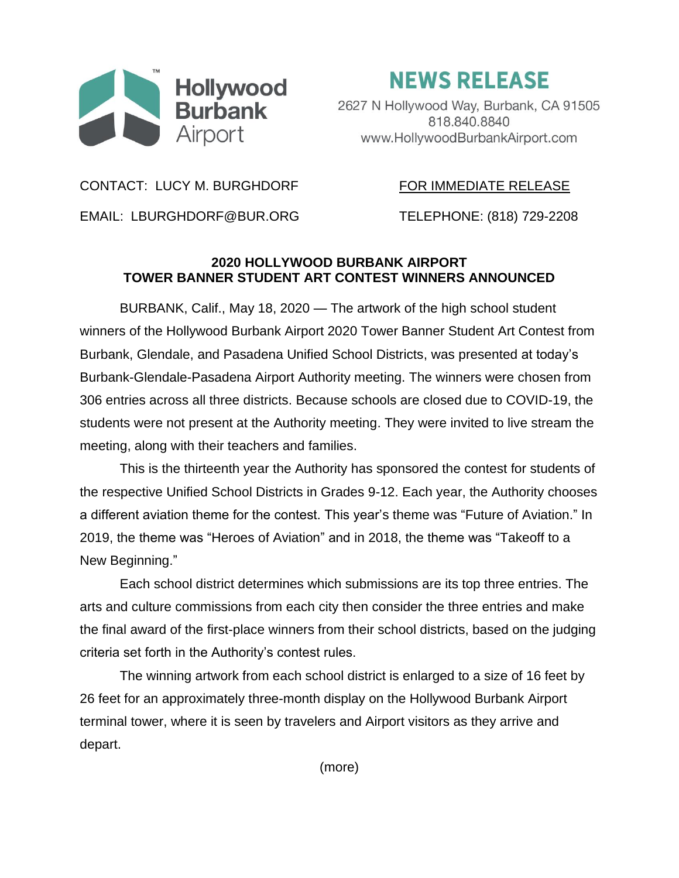

**NEWS RELEASE** 

2627 N Hollywood Way, Burbank, CA 91505 818.840.8840 www.HollywoodBurbankAirport.com

CONTACT: LUCY M. BURGHDORF FOR IMMEDIATE RELEASE

EMAIL: LBURGHDORF@BUR.ORG TELEPHONE: (818) 729-2208

## **2020 HOLLYWOOD BURBANK AIRPORT TOWER BANNER STUDENT ART CONTEST WINNERS ANNOUNCED**

BURBANK, Calif., May 18, 2020 — The artwork of the high school student winners of the Hollywood Burbank Airport 2020 Tower Banner Student Art Contest from Burbank, Glendale, and Pasadena Unified School Districts, was presented at today's Burbank-Glendale-Pasadena Airport Authority meeting. The winners were chosen from 306 entries across all three districts. Because schools are closed due to COVID-19, the students were not present at the Authority meeting. They were invited to live stream the meeting, along with their teachers and families.

This is the thirteenth year the Authority has sponsored the contest for students of the respective Unified School Districts in Grades 9-12. Each year, the Authority chooses a different aviation theme for the contest. This year's theme was "Future of Aviation." In 2019, the theme was "Heroes of Aviation" and in 2018, the theme was "Takeoff to a New Beginning."

Each school district determines which submissions are its top three entries. The arts and culture commissions from each city then consider the three entries and make the final award of the first-place winners from their school districts, based on the judging criteria set forth in the Authority's contest rules.

The winning artwork from each school district is enlarged to a size of 16 feet by 26 feet for an approximately three-month display on the Hollywood Burbank Airport terminal tower, where it is seen by travelers and Airport visitors as they arrive and depart.

(more)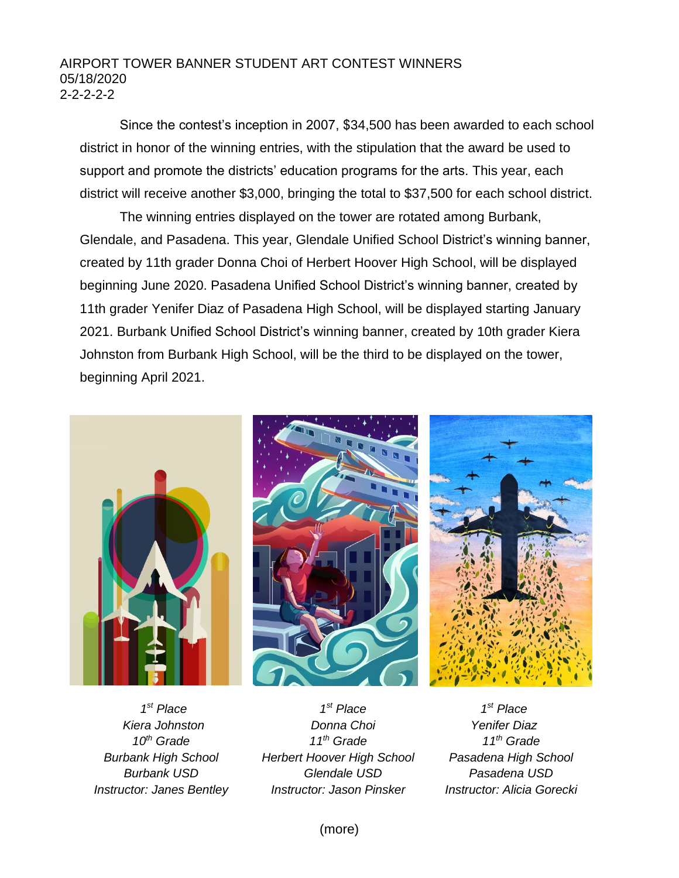## AIRPORT TOWER BANNER STUDENT ART CONTEST WINNERS 05/18/2020 2-2-2-2-2

Since the contest's inception in 2007, \$34,500 has been awarded to each school district in honor of the winning entries, with the stipulation that the award be used to support and promote the districts' education programs for the arts. This year, each district will receive another \$3,000, bringing the total to \$37,500 for each school district.

The winning entries displayed on the tower are rotated among Burbank, Glendale, and Pasadena. This year, Glendale Unified School District's winning banner, created by 11th grader Donna Choi of Herbert Hoover High School, will be displayed beginning June 2020. Pasadena Unified School District's winning banner, created by 11th grader Yenifer Diaz of Pasadena High School, will be displayed starting January 2021. Burbank Unified School District's winning banner, created by 10th grader Kiera Johnston from Burbank High School, will be the third to be displayed on the tower, beginning April 2021.







*1 st Place Kiera Johnston 10th Grade Burbank High School Burbank USD Instructor: Janes Bentley*

*1 st Place Donna Choi 11th Grade Herbert Hoover High School Glendale USD Instructor: Jason Pinsker*

*1 st Place Yenifer Diaz 11th Grade Pasadena High School Pasadena USD Instructor: Alicia Gorecki*

(more)